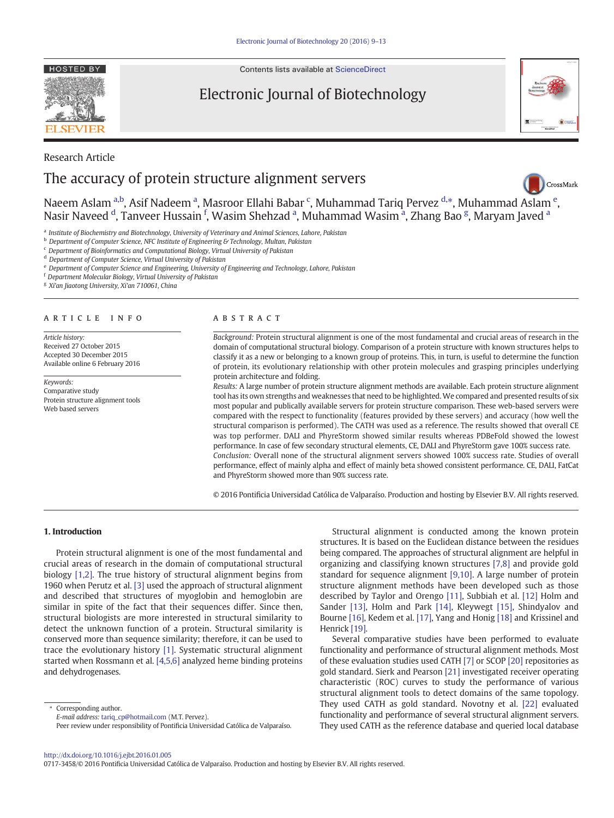**HOSTED BY** 

Contents lists available at [ScienceDirect](http://www.sciencedirect.com/science/journal/)

# Electronic Journal of Biotechnology



# Research Article The accuracy of protein structure alignment servers



Na[e](http://crossmark.crossref.org/dialog/?doi=10.1016/j.ejbt.2016.01.005&domain=pdf)em Aslam <sup>a,b</sup>, Asif Nadeem <sup>a</sup>, Masroor Ellahi Babar <sup>c</sup>, Muhammad Tariq Pervez <sup>d,\*</sup>, Muhammad Aslam <sup>e</sup>, Nasir Naveed <sup>d</sup>, Tanveer Hussain <sup>f</sup>, Wasim Shehzad <sup>a</sup>, Muhammad Wasim <sup>a</sup>, Zhang Bao <sup>g</sup>, Maryam Javed <sup>a</sup>

a Institute of Biochemistry and Biotechnology, University of Veterinary and Animal Sciences, Lahore, Pakistan

 $<sup>b</sup>$  Department of Computer Science, NFC Institute of Engineering & Technology, Multan, Pakistan</sup>

<sup>c</sup> Department of Bioinformatics and Computational Biology, Virtual University of Pakistan

<sup>d</sup> Department of Computer Science, Virtual University of Pakistan

<sup>e</sup> Department of Computer Science and Engineering, University of Engineering and Technology, Lahore, Pakistan

<sup>f</sup> Department Molecular Biology, Virtual University of Pakistan

<sup>g</sup> Xi'an Jiaotong University, Xi'an 710061, China

### article info abstract

Article history: Received 27 October 2015 Accepted 30 December 2015 Available online 6 February 2016

Keywords: Comparative study Protein structure alignment tools Web based servers

Background: Protein structural alignment is one of the most fundamental and crucial areas of research in the domain of computational structural biology. Comparison of a protein structure with known structures helps to classify it as a new or belonging to a known group of proteins. This, in turn, is useful to determine the function of protein, its evolutionary relationship with other protein molecules and grasping principles underlying protein architecture and folding.

Results: A large number of protein structure alignment methods are available. Each protein structure alignment tool has its own strengths and weaknesses that need to be highlighted. We compared and presented results of six most popular and publically available servers for protein structure comparison. These web-based servers were compared with the respect to functionality (features provided by these servers) and accuracy (how well the structural comparison is performed). The CATH was used as a reference. The results showed that overall CE was top performer. DALI and PhyreStorm showed similar results whereas PDBeFold showed the lowest performance. In case of few secondary structural elements, CE, DALI and PhyreStorm gave 100% success rate. Conclusion: Overall none of the structural alignment servers showed 100% success rate. Studies of overall performance, effect of mainly alpha and effect of mainly beta showed consistent performance. CE, DALI, FatCat and PhyreStorm showed more than 90% success rate.

© 2016 Pontificia Universidad Católica de Valparaíso. Production and hosting by Elsevier B.V. All rights reserved.

### 1. Introduction

Protein structural alignment is one of the most fundamental and crucial areas of research in the domain of computational structural biology [\[1,2\].](#page-3-0) The true history of structural alignment begins from 1960 when Perutz et al. [\[3\]](#page-3-0) used the approach of structural alignment and described that structures of myoglobin and hemoglobin are similar in spite of the fact that their sequences differ. Since then, structural biologists are more interested in structural similarity to detect the unknown function of a protein. Structural similarity is conserved more than sequence similarity; therefore, it can be used to trace the evolutionary history [\[1\].](#page-3-0) Systematic structural alignment started when Rossmann et al. [\[4,5,6\]](#page-3-0) analyzed heme binding proteins and dehydrogenases.

Corresponding author.

E-mail address: [tariq\\_cp@hotmail.com](mailto:tariq_cp@hotmail.com) (M.T. Pervez).

Structural alignment is conducted among the known protein structures. It is based on the Euclidean distance between the residues being compared. The approaches of structural alignment are helpful in organizing and classifying known structures [\[7,8\]](#page-3-0) and provide gold standard for sequence alignment [\[9,10\]](#page-3-0). A large number of protein structure alignment methods have been developed such as those described by Taylor and Orengo [\[11\]](#page-3-0), Subbiah et al. [\[12\]](#page-3-0) Holm and Sander [\[13\],](#page-3-0) Holm and Park [\[14\],](#page-3-0) Kleywegt [\[15\]](#page-3-0), Shindyalov and Bourne [\[16\]](#page-3-0), Kedem et al. [\[17\],](#page-4-0) Yang and Honig [\[18\]](#page-4-0) and Krissinel and Henrick [\[19\].](#page-4-0)

Several comparative studies have been performed to evaluate functionality and performance of structural alignment methods. Most of these evaluation studies used CATH [\[7\]](#page-3-0) or SCOP [\[20\]](#page-4-0) repositories as gold standard. Sierk and Pearson [\[21\]](#page-4-0) investigated receiver operating characteristic (ROC) curves to study the performance of various structural alignment tools to detect domains of the same topology. They used CATH as gold standard. Novotny et al. [\[22\]](#page-4-0) evaluated functionality and performance of several structural alignment servers. They used CATH as the reference database and queried local database

<http://dx.doi.org/10.1016/j.ejbt.2016.01.005>

0717-3458/© 2016 Pontificia Universidad Católica de Valparaíso. Production and hosting by Elsevier B.V. All rights reserved.

Peer review under responsibility of Pontificia Universidad Católica de Valparaíso.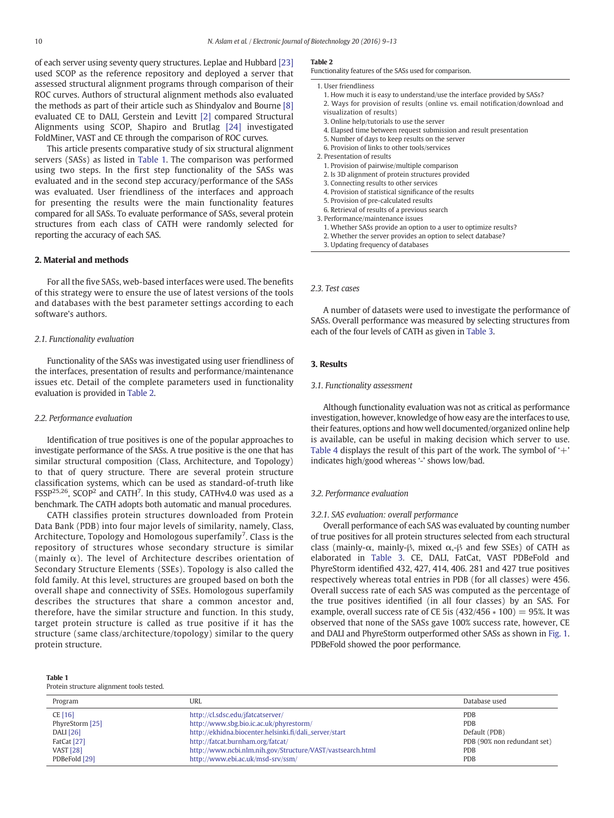<span id="page-1-0"></span>of each server using seventy query structures. Leplae and Hubbard [\[23\]](#page-4-0) used SCOP as the reference repository and deployed a server that assessed structural alignment programs through comparison of their ROC curves. Authors of structural alignment methods also evaluated the methods as part of their article such as Shindyalov and Bourne [\[8\]](#page-3-0) evaluated CE to DALI, Gerstein and Levitt [\[2\]](#page-3-0) compared Structural Alignments using SCOP, Shapiro and Brutlag [\[24\]](#page-4-0) investigated FoldMiner, VAST and CE through the comparison of ROC curves.

This article presents comparative study of six structural alignment servers (SASs) as listed in Table 1. The comparison was performed using two steps. In the first step functionality of the SASs was evaluated and in the second step accuracy/performance of the SASs was evaluated. User friendliness of the interfaces and approach for presenting the results were the main functionality features compared for all SASs. To evaluate performance of SASs, several protein structures from each class of CATH were randomly selected for reporting the accuracy of each SAS.

### 2. Material and methods

For all the five SASs, web-based interfaces were used. The benefits of this strategy were to ensure the use of latest versions of the tools and databases with the best parameter settings according to each software's authors.

### 2.1. Functionality evaluation

Functionality of the SASs was investigated using user friendliness of the interfaces, presentation of results and performance/maintenance issues etc. Detail of the complete parameters used in functionality evaluation is provided in Table 2.

### 2.2. Performance evaluation

Identification of true positives is one of the popular approaches to investigate performance of the SASs. A true positive is the one that has similar structural composition (Class, Architecture, and Topology) to that of query structure. There are several protein structure classification systems, which can be used as standard-of-truth like FSSP<sup>25,26</sup>, SCOP<sup>2</sup> and CATH<sup>7</sup>. In this study, CATHv4.0 was used as a benchmark. The CATH adopts both automatic and manual procedures.

CATH classifies protein structures downloaded from Protein Data Bank (PDB) into four major levels of similarity, namely, Class, Architecture, Topology and Homologous superfamily<sup>7</sup>. Class is the repository of structures whose secondary structure is similar (mainly α). The level of Architecture describes orientation of Secondary Structure Elements (SSEs). Topology is also called the fold family. At this level, structures are grouped based on both the overall shape and connectivity of SSEs. Homologous superfamily describes the structures that share a common ancestor and, therefore, have the similar structure and function. In this study, target protein structure is called as true positive if it has the structure (same class/architecture/topology) similar to the query protein structure.

## Table 1

# Protein structure alignment tools tested.

|--|--|

Functionality features of the SASs used for comparison.

- 1. User friendliness
	- 1. How much it is easy to understand/use the interface provided by SASs?
	- 2. Ways for provision of results (online vs. email notification/download and visualization of results)
	- 3. Online help/tutorials to use the server
	- 4. Elapsed time between request submission and result presentation
	- 5. Number of days to keep results on the server
	- 6. Provision of links to other tools/services
- 2. Presentation of results
	- 1. Provision of pairwise/multiple comparison
	- 2. Is 3D alignment of protein structures provided
	- 3. Connecting results to other services
- 4. Provision of statistical significance of the results
- 5. Provision of pre-calculated results
- 6. Retrieval of results of a previous search
- 3. Performance/maintenance issues
	- 1. Whether SASs provide an option to a user to optimize results?
	- 2. Whether the server provides an option to select database?
	- 3. Updating frequency of databases

#### 2.3. Test cases

A number of datasets were used to investigate the performance of SASs. Overall performance was measured by selecting structures from each of the four levels of CATH as given in [Table 3](#page-2-0).

### 3. Results

#### 3.1. Functionality assessment

Although functionality evaluation was not as critical as performance investigation, however, knowledge of how easy are the interfaces to use, their features, options and how well documented/organized online help is available, can be useful in making decision which server to use. [Table 4](#page-2-0) displays the result of this part of the work. The symbol of  $+$ ' indicates high/good whereas '-' shows low/bad.

#### 3.2. Performance evaluation

#### 3.2.1. SAS evaluation: overall performance

Overall performance of each SAS was evaluated by counting number of true positives for all protein structures selected from each structural class (mainly- $\alpha$ , mainly- $\beta$ , mixed  $\alpha$ ,- $\beta$  and few SSEs) of CATH as elaborated in [Table 3.](#page-2-0) CE, DALI, FatCat, VAST PDBeFold and PhyreStorm identified 432, 427, 414, 406. 281 and 427 true positives respectively whereas total entries in PDB (for all classes) were 456. Overall success rate of each SAS was computed as the percentage of the true positives identified (in all four classes) by an SAS. For example, overall success rate of CE 5is  $(432/456 * 100) = 95%$ . It was observed that none of the SASs gave 100% success rate, however, CE and DALI and PhyreStorm outperformed other SASs as shown in [Fig. 1.](#page-3-0) PDBeFold showed the poor performance.

| Program          | URL                                                        | Database used               |
|------------------|------------------------------------------------------------|-----------------------------|
| CE [16]          | http://cl.sdsc.edu/jfatcatserver/                          | PDB                         |
| PhyreStorm [25]  | http://www.sbg.bio.ic.ac.uk/phyrestorm/                    | <b>PDB</b>                  |
| <b>DALI</b> [26] | http://ekhidna.biocenter.helsinki.fi/dali_server/start     | Default (PDB)               |
| FatCat [27]      | http://fatcat.burnham.org/fatcat/                          | PDB (90% non redundant set) |
| <b>VAST [28]</b> | http://www.ncbi.nlm.nih.gov/Structure/VAST/vastsearch.html | PDB                         |
| PDBeFold [29]    | http://www.ebi.ac.uk/msd-srv/ssm/                          | PDB                         |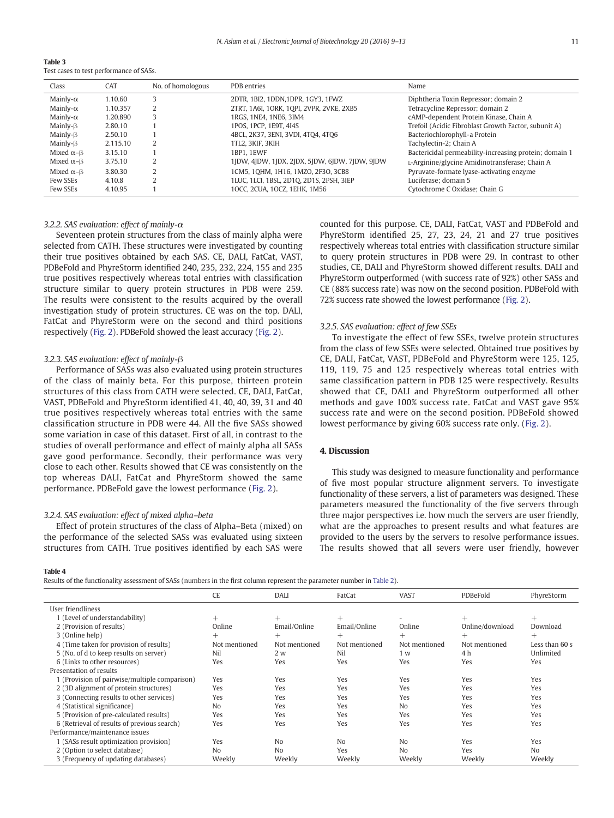<span id="page-2-0"></span>Table 3 Test cases to test performance of SASs.

| Class                    | CAT      | No. of homologous | PDB entries                                    | Name                                                   |
|--------------------------|----------|-------------------|------------------------------------------------|--------------------------------------------------------|
| Mainly- $\alpha$         | 1.10.60  |                   | 2DTR, 1BI2, 1DDN, 1DPR, 1GY3, 1FWZ             | Diphtheria Toxin Repressor; domain 2                   |
| Mainly- $\alpha$         | 1.10.357 |                   | 2TRT, 1A6I, 1ORK, 1OPI, 2VPR, 2VKE, 2XB5       | Tetracycline Repressor; domain 2                       |
| Mainly- $\alpha$         | 1.20.890 |                   | 1RGS, 1NE4, 1NE6, 3IM4                         | cAMP-dependent Protein Kinase, Chain A                 |
| $Mainly-\beta$           | 2.80.10  |                   | 1POS, 1PCP, 1E9T, 4I4S                         | Trefoil (Acidic Fibroblast Growth Factor, subunit A)   |
| $Mainly-\beta$           | 2.50.10  |                   | 4BCL, 2K37, 3ENI, 3VDI, 4TO4, 4TO6             | Bacteriochlorophyll-a Protein                          |
| $Mainly-\beta$           | 2.115.10 |                   | 1TL2, 3KIF, 3KIH                               | Tachylectin-2; Chain A                                 |
| Mixed $\alpha$ - $\beta$ | 3.15.10  |                   | 1BP1. 1EWF                                     | Bactericidal permeability-increasing protein; domain 1 |
| Mixed $\alpha$ - $\beta$ | 3.75.10  |                   | 1JDW, 4JDW, 1JDX, 2JDX, 5JDW, 6JDW, 7JDW, 9JDW | L-Arginine/glycine Amidinotransferase; Chain A         |
| Mixed $\alpha$ - $\beta$ | 3.80.30  |                   | 1CM5, 10HM, 1H16, 1MZO, 2F3O, 3CB8             | Pyruvate-formate lyase-activating enzyme               |
| Few SSEs                 | 4.10.8   |                   | 1LUC, 1LCI, 1BSL, 2D10, 2D1S, 2PSH, 3IEP       | Luciferase: domain 5                                   |
| Few SSEs                 | 4.10.95  |                   | 10CC, 2CUA, 10CZ, 1EHK, 1M56                   | Cytochrome C Oxidase; Chain G                          |

### 3.2.2. SAS evaluation: effect of mainly-α

Seventeen protein structures from the class of mainly alpha were selected from CATH. These structures were investigated by counting their true positives obtained by each SAS. CE, DALI, FatCat, VAST, PDBeFold and PhyreStorm identified 240, 235, 232, 224, 155 and 235 true positives respectively whereas total entries with classification structure similar to query protein structures in PDB were 259. The results were consistent to the results acquired by the overall investigation study of protein structures. CE was on the top. DALI, FatCat and PhyreStorm were on the second and third positions respectively ([Fig. 2](#page-3-0)). PDBeFold showed the least accuracy ([Fig. 2](#page-3-0)).

#### 3.2.3. SAS evaluation: effect of mainly-β

Performance of SASs was also evaluated using protein structures of the class of mainly beta. For this purpose, thirteen protein structures of this class from CATH were selected. CE, DALI, FatCat, VAST, PDBeFold and PhyreStorm identified 41, 40, 40, 39, 31 and 40 true positives respectively whereas total entries with the same classification structure in PDB were 44. All the five SASs showed some variation in case of this dataset. First of all, in contrast to the studies of overall performance and effect of mainly alpha all SASs gave good performance. Secondly, their performance was very close to each other. Results showed that CE was consistently on the top whereas DALI, FatCat and PhyreStorm showed the same performance. PDBeFold gave the lowest performance ([Fig. 2](#page-3-0)).

### 3.2.4. SAS evaluation: effect of mixed alpha–beta

Effect of protein structures of the class of Alpha–Beta (mixed) on the performance of the selected SASs was evaluated using sixteen structures from CATH. True positives identified by each SAS were counted for this purpose. CE, DALI, FatCat, VAST and PDBeFold and PhyreStorm identified 25, 27, 23, 24, 21 and 27 true positives respectively whereas total entries with classification structure similar to query protein structures in PDB were 29. In contrast to other studies, CE, DALI and PhyreStorm showed different results. DALI and PhyreStorm outperformed (with success rate of 92%) other SASs and CE (88% success rate) was now on the second position. PDBeFold with 72% success rate showed the lowest performance ([Fig. 2](#page-3-0)).

### 3.2.5. SAS evaluation: effect of few SSEs

To investigate the effect of few SSEs, twelve protein structures from the class of few SSEs were selected. Obtained true positives by CE, DALI, FatCat, VAST, PDBeFold and PhyreStorm were 125, 125, 119, 119, 75 and 125 respectively whereas total entries with same classification pattern in PDB 125 were respectively. Results showed that CE, DALI and PhyreStorm outperformed all other methods and gave 100% success rate. FatCat and VAST gave 95% success rate and were on the second position. PDBeFold showed lowest performance by giving 60% success rate only. ([Fig. 2](#page-3-0)).

### 4. Discussion

This study was designed to measure functionality and performance of five most popular structure alignment servers. To investigate functionality of these servers, a list of parameters was designed. These parameters measured the functionality of the five servers through three major perspectives i.e. how much the servers are user friendly, what are the approaches to present results and what features are provided to the users by the servers to resolve performance issues. The results showed that all severs were user friendly, however

Table 4

Results of the functionality assessment of SASs (numbers in the first column represent the parameter number in [Table 2](#page-1-0)).

|                                               | <b>CE</b>      | <b>DALI</b>    | FatCat         | <b>VAST</b>    | PDBeFold        | PhyreStorm     |
|-----------------------------------------------|----------------|----------------|----------------|----------------|-----------------|----------------|
| User friendliness                             |                |                |                |                |                 |                |
| 1 (Level of understandability)                | $^{+}$         | $^{+}$         | $^{+}$         |                | $^{+}$          | $^{+}$         |
| 2 (Provision of results)                      | Online         | Email/Online   | Email/Online   | Online         | Online/download | Download       |
| 3 (Online help)                               | $^{+}$         | $^{+}$         | $^{+}$         | $^{+}$         | $^{+}$          | $^{+}$         |
| 4 (Time taken for provision of results)       | Not mentioned  | Not mentioned  | Not mentioned  | Not mentioned  | Not mentioned   | Less than 60 s |
| 5 (No. of d to keep results on server)        | Nil            | 2 w            | Nil            | 1 w            | 4 h             | Unlimited      |
| 6 (Links to other resources)                  | Yes            | Yes            | Yes            | Yes            | Yes             | Yes            |
| Presentation of results                       |                |                |                |                |                 |                |
| 1 (Provision of pairwise/multiple comparison) | Yes            | Yes            | Yes            | Yes            | Yes             | Yes            |
| 2 (3D alignment of protein structures)        | Yes            | Yes            | Yes            | Yes            | Yes             | Yes            |
| 3 (Connecting results to other services)      | Yes            | Yes            | Yes            | Yes            | Yes             | Yes            |
| 4 (Statistical significance)                  | N <sub>0</sub> | Yes            | Yes            | N <sub>o</sub> | Yes             | Yes            |
| 5 (Provision of pre-calculated results)       | Yes            | Yes            | Yes            | Yes            | Yes             | Yes            |
| 6 (Retrieval of results of previous search)   | Yes            | Yes            | Yes            | Yes            | Yes             | Yes            |
| Performance/maintenance issues                |                |                |                |                |                 |                |
| 1 (SASs result optimization provision)        | Yes            | N <sub>0</sub> | N <sub>o</sub> | N <sub>0</sub> | Yes             | Yes            |
| 2 (Option to select database)                 | N <sub>0</sub> | N <sub>o</sub> | Yes            | N <sub>o</sub> | Yes             | N <sub>o</sub> |
| 3 (Frequency of updating databases)           | Weekly         | Weekly         | Weekly         | Weekly         | Weekly          | Weekly         |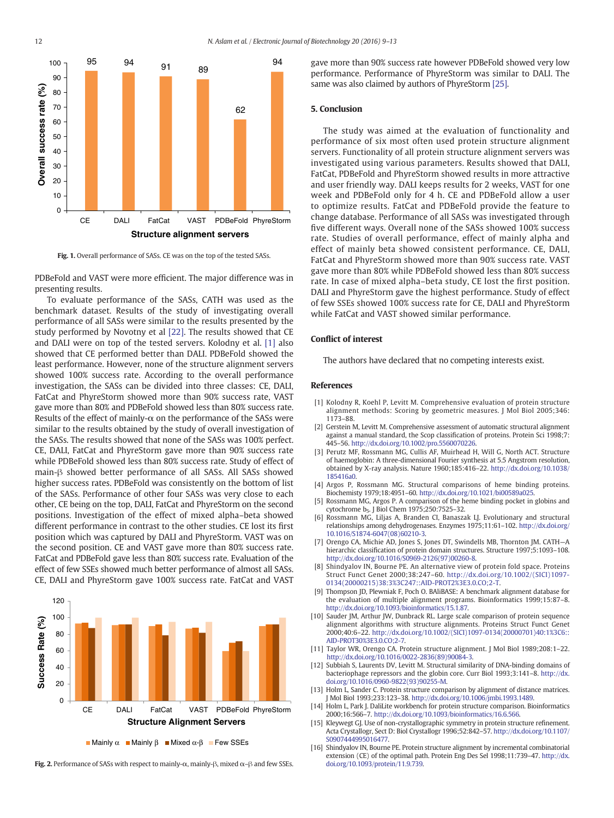<span id="page-3-0"></span>

Fig. 1. Overall performance of SASs. CE was on the top of the tested SASs.

PDBeFold and VAST were more efficient. The major difference was in presenting results.

To evaluate performance of the SASs, CATH was used as the benchmark dataset. Results of the study of investigating overall performance of all SASs were similar to the results presented by the study performed by Novotny et al [\[22\]](#page-4-0). The results showed that CE and DALI were on top of the tested servers. Kolodny et al. [1] also showed that CE performed better than DALI. PDBeFold showed the least performance. However, none of the structure alignment servers showed 100% success rate. According to the overall performance investigation, the SASs can be divided into three classes: CE, DALI, FatCat and PhyreStorm showed more than 90% success rate, VAST gave more than 80% and PDBeFold showed less than 80% success rate. Results of the effect of mainly- $\alpha$  on the performance of the SASs were similar to the results obtained by the study of overall investigation of the SASs. The results showed that none of the SASs was 100% perfect. CE, DALI, FatCat and PhyreStorm gave more than 90% success rate while PDBeFold showed less than 80% success rate. Study of effect of main-β showed better performance of all SASs. All SASs showed higher success rates. PDBeFold was consistently on the bottom of list of the SASs. Performance of other four SASs was very close to each other, CE being on the top, DALI, FatCat and PhyreStorm on the second positions. Investigation of the effect of mixed alpha–beta showed different performance in contrast to the other studies. CE lost its first position which was captured by DALI and PhyreStorm. VAST was on the second position. CE and VAST gave more than 80% success rate. FatCat and PDBeFold gave less than 80% success rate. Evaluation of the effect of few SSEs showed much better performance of almost all SASs. CE, DALI and PhyreStorm gave 100% success rate. FatCat and VAST



 $\blacksquare$  Mainly  $\alpha$   $\blacksquare$  Mainly  $\beta$   $\blacksquare$  Mixed  $\alpha$ - $\beta$   $\blacksquare$  Few SSEs

Fig. 2. Performance of SASs with respect to mainly- $\alpha$ , mainly-β, mixed  $\alpha$ -β and few SSEs.

gave more than 90% success rate however PDBeFold showed very low performance. Performance of PhyreStorm was similar to DALI. The same was also claimed by authors of PhyreStorm [\[25\]](#page-4-0).

### 5. Conclusion

The study was aimed at the evaluation of functionality and performance of six most often used protein structure alignment servers. Functionality of all protein structure alignment servers was investigated using various parameters. Results showed that DALI, FatCat, PDBeFold and PhyreStorm showed results in more attractive and user friendly way. DALI keeps results for 2 weeks, VAST for one week and PDBeFold only for 4 h. CE and PDBeFold allow a user to optimize results. FatCat and PDBeFold provide the feature to change database. Performance of all SASs was investigated through five different ways. Overall none of the SASs showed 100% success rate. Studies of overall performance, effect of mainly alpha and effect of mainly beta showed consistent performance. CE, DALI, FatCat and PhyreStorm showed more than 90% success rate. VAST gave more than 80% while PDBeFold showed less than 80% success rate. In case of mixed alpha–beta study, CE lost the first position. DALI and PhyreStorm gave the highest performance. Study of effect of few SSEs showed 100% success rate for CE, DALI and PhyreStorm while FatCat and VAST showed similar performance.

### Conflict of interest

The authors have declared that no competing interests exist.

#### References

- [1] [Kolodny R, Koehl P, Levitt M. Comprehensive evaluation of protein structure](http://refhub.elsevier.com/S0717-3458(16)00020-8/rf0025) [alignment methods: Scoring by geometric measures. J Mol Biol 2005;346:](http://refhub.elsevier.com/S0717-3458(16)00020-8/rf0025) [1173](http://refhub.elsevier.com/S0717-3458(16)00020-8/rf0025)–88.
- [2] Gerstein M, Levitt M. Comprehensive assessment of automatic structural alignment against a manual standard, the Scop classification of proteins. Protein Sci 1998;7: 445–56. <http://dx.doi.org/10.1002/pro.5560070226>.
- [3] Perutz MF, Rossmann MG, Cullis AF, Muirhead H, Will G, North ACT. Structure of haemoglobin: A three-dimensional Fourier synthesis at 5.5 Angstrom resolution, obtained by X-ray analysis. Nature 1960;185:416–22. [http://dx.doi.org/10.1038/](http://dx.doi.org/10.1038/185416a0) [185416a0.](http://dx.doi.org/10.1038/185416a0)
- Argos P, Rossmann MG. Structural comparisons of heme binding proteins. Biochemisty 1979;18:4951–60. [http://dx.doi.org/10.1021/bi00589a025.](http://dx.doi.org/10.1021/bi00589a025)
- Rossmann MG, Argos P. A comparison of the heme binding pocket in globins and cytochrome b<sub>5</sub>. J Biol Chem 1975;250:7525-32.
- [6] Rossmann MG, Liljas A, Branden CI, Banaszak LJ. Evolutionary and structural relationships among dehydrogenases. Enzymes 1975;11:61–102. [http://dx.doi.org/](http://dx.doi.org/10.1016/S1874-6047(08)60210-3) [10.1016/S1874-6047\(08\)60210-3](http://dx.doi.org/10.1016/S1874-6047(08)60210-3).
- Orengo CA, Michie AD, Jones S, Jones DT, Swindells MB, Thornton JM. CATH-A hierarchic classification of protein domain structures. Structure 1997;5:1093–108. [http://dx.doi.org/10.1016/S0969-2126\(97\)00260-8](http://dx.doi.org/10.1016/S0969-2126(97)00260-8).
- Shindyalov IN, Bourne PE. An alternative view of protein fold space. Proteins Struct Funct Genet 2000;38:247–60. [http://dx.doi.org/10.1002/\(SICI\)1097-](http://dx.doi.org/10.1002/(SICI)1097-0134(20000215)38:3%3C247::AID-PROT2%3E3.0.CO;2-T) [0134\(20000215\)38:3%3C247::AID-PROT2%3E3.0.CO;2-T](http://dx.doi.org/10.1002/(SICI)1097-0134(20000215)38:3%3C247::AID-PROT2%3E3.0.CO;2-T).
- [9] Thompson JD, Plewniak F, Poch O. BAliBASE: A benchmark alignment database for the evaluation of multiple alignment programs. Bioinformatics 1999;15:87–8. [http://dx.doi.org/10.1093/bioinformatics/15.1.87.](http://dx.doi.org/10.1093/bioinformatics/15.1.87)
- [10] Sauder JM, Arthur JW, Dunbrack RL. Large scale comparison of protein sequence alignment algorithms with structure alignments. Proteins Struct Funct Genet 2000;40:6–22. [http://dx.doi.org/10.1002/\(SICI\)1097-0134\(20000701\)40:1%3C6::](http://dx.doi.org/10.1002/(SICI)1097-0134(20000701)40:1%3C6::AID-PROT30%3E3.0.CO;2-7) [AID-PROT30%3E3.0.CO;2-7](http://dx.doi.org/10.1002/(SICI)1097-0134(20000701)40:1%3C6::AID-PROT30%3E3.0.CO;2-7).
- [11] Taylor WR, Orengo CA. Protein structure alignment. J Mol Biol 1989;208:1–22. [http://dx.doi.org/10.1016/0022-2836\(89\)90084-3](http://dx.doi.org/10.1016/0022-2836(89)90084-3).
- [12] Subbiah S, Laurents DV, Levitt M. Structural similarity of DNA-binding domains of bacteriophage repressors and the globin core. Curr Biol 1993;3:141–8. [http://dx.](http://dx.doi.org/10.1016/0960-9822(93)90255-M) [doi.org/10.1016/0960-9822\(93\)90255-M.](http://dx.doi.org/10.1016/0960-9822(93)90255-M)
- [13] Holm L, Sander C. Protein structure comparison by alignment of distance matrices. J Mol Biol 1993;233:123–38. <http://dx.doi.org/10.1006/jmbi.1993.1489>.
- [14] Holm L, Park J. DaliLite workbench for protein structure comparison. Bioinformatics 2000;16:566–7. [http://dx.doi.org/10.1093/bioinformatics/16.6.566.](http://dx.doi.org/10.1093/bioinformatics/16.6.566)
- [15] Kleywegt GJ. Use of non-crystallographic symmetry in protein structure refinement. Acta Crystallogr, Sect D: Biol Crystallogr 1996;52:842–57. [http://dx.doi.org/10.1107/](http://dx.doi.org/10.1107/S0907444995016477) [S0907444995016477](http://dx.doi.org/10.1107/S0907444995016477).
- [16] Shindyalov IN, Bourne PE. Protein structure alignment by incremental combinatorial extension (CE) of the optimal path. Protein Eng Des Sel 1998;11:739–47. [http://dx.](http://dx.doi.org/10.1093/protein/11.9.739) [doi.org/10.1093/protein/11.9.739](http://dx.doi.org/10.1093/protein/11.9.739).